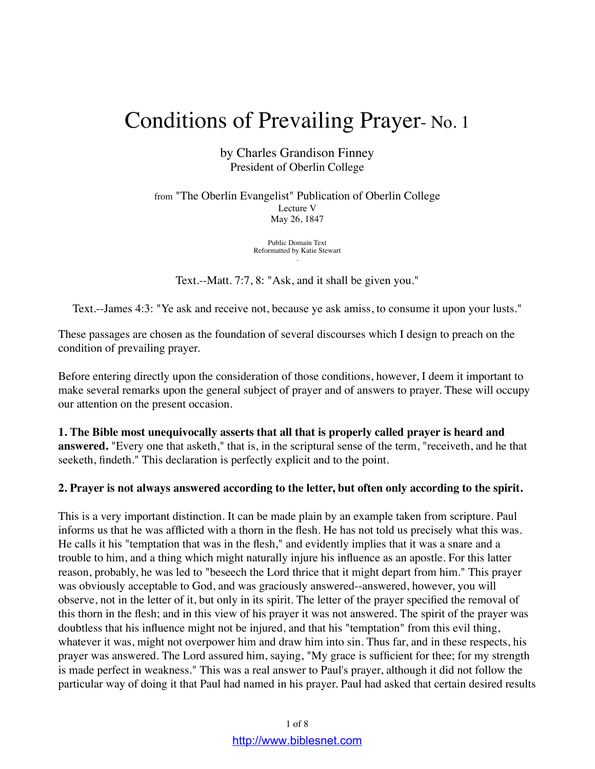# Conditions of Prevailing Prayer- No. 1

by Charles Grandison Finney President of Oberlin College

from "The Oberlin Evangelist" Publication of Oberlin College Lecture V May 26, 1847

> Public Domain Text Reformatted by Katie Stewart .

Text.--Matt. 7:7, 8: "Ask, and it shall be given you."

Text.--James 4:3: "Ye ask and receive not, because ye ask amiss, to consume it upon your lusts."

These passages are chosen as the foundation of several discourses which I design to preach on the condition of prevailing prayer.

Before entering directly upon the consideration of those conditions, however, I deem it important to make several remarks upon the general subject of prayer and of answers to prayer. These will occupy our attention on the present occasion.

**1. The Bible most unequivocally asserts that all that is properly called prayer is heard and answered.** "Every one that asketh," that is, in the scriptural sense of the term, "receiveth, and he that seeketh, findeth." This declaration is perfectly explicit and to the point.

#### **2. Prayer is not always answered according to the letter, but often only according to the spirit.**

This is a very important distinction. It can be made plain by an example taken from scripture. Paul informs us that he was afflicted with a thorn in the flesh. He has not told us precisely what this was. He calls it his "temptation that was in the flesh," and evidently implies that it was a snare and a trouble to him, and a thing which might naturally injure his influence as an apostle. For this latter reason, probably, he was led to "beseech the Lord thrice that it might depart from him." This prayer was obviously acceptable to God, and was graciously answered--answered, however, you will observe, not in the letter of it, but only in its spirit. The letter of the prayer specified the removal of this thorn in the flesh; and in this view of his prayer it was not answered. The spirit of the prayer was doubtless that his influence might not be injured, and that his "temptation" from this evil thing, whatever it was, might not overpower him and draw him into sin. Thus far, and in these respects, his prayer was answered. The Lord assured him, saying, "My grace is sufficient for thee; for my strength is made perfect in weakness." This was a real answer to Paul's prayer, although it did not follow the particular way of doing it that Paul had named in his prayer. Paul had asked that certain desired results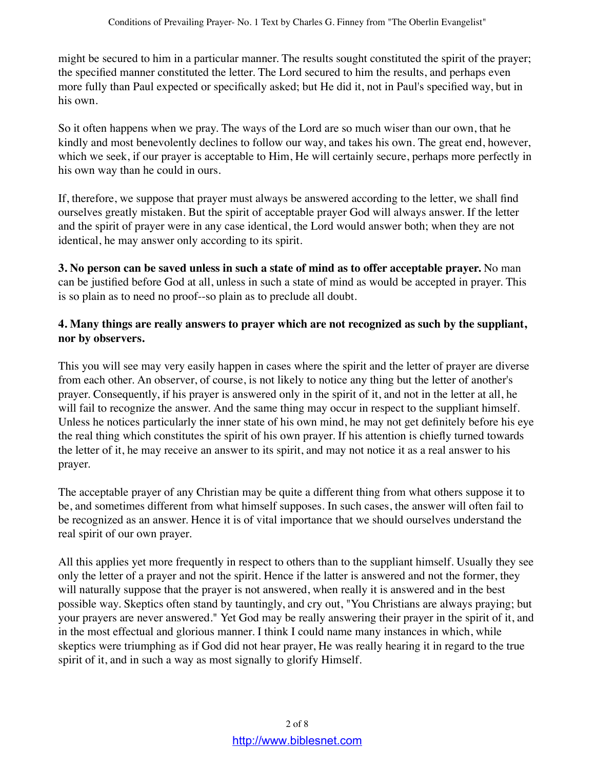might be secured to him in a particular manner. The results sought constituted the spirit of the prayer; the specified manner constituted the letter. The Lord secured to him the results, and perhaps even more fully than Paul expected or specifically asked; but He did it, not in Paul's specified way, but in his own.

So it often happens when we pray. The ways of the Lord are so much wiser than our own, that he kindly and most benevolently declines to follow our way, and takes his own. The great end, however, which we seek, if our prayer is acceptable to Him, He will certainly secure, perhaps more perfectly in his own way than he could in ours.

If, therefore, we suppose that prayer must always be answered according to the letter, we shall find ourselves greatly mistaken. But the spirit of acceptable prayer God will always answer. If the letter and the spirit of prayer were in any case identical, the Lord would answer both; when they are not identical, he may answer only according to its spirit.

**3. No person can be saved unless in such a state of mind as to offer acceptable prayer.** No man can be justified before God at all, unless in such a state of mind as would be accepted in prayer. This is so plain as to need no proof--so plain as to preclude all doubt.

## **4. Many things are really answers to prayer which are not recognized as such by the suppliant, nor by observers.**

This you will see may very easily happen in cases where the spirit and the letter of prayer are diverse from each other. An observer, of course, is not likely to notice any thing but the letter of another's prayer. Consequently, if his prayer is answered only in the spirit of it, and not in the letter at all, he will fail to recognize the answer. And the same thing may occur in respect to the suppliant himself. Unless he notices particularly the inner state of his own mind, he may not get definitely before his eye the real thing which constitutes the spirit of his own prayer. If his attention is chiefly turned towards the letter of it, he may receive an answer to its spirit, and may not notice it as a real answer to his prayer.

The acceptable prayer of any Christian may be quite a different thing from what others suppose it to be, and sometimes different from what himself supposes. In such cases, the answer will often fail to be recognized as an answer. Hence it is of vital importance that we should ourselves understand the real spirit of our own prayer.

All this applies yet more frequently in respect to others than to the suppliant himself. Usually they see only the letter of a prayer and not the spirit. Hence if the latter is answered and not the former, they will naturally suppose that the prayer is not answered, when really it is answered and in the best possible way. Skeptics often stand by tauntingly, and cry out, "You Christians are always praying; but your prayers are never answered." Yet God may be really answering their prayer in the spirit of it, and in the most effectual and glorious manner. I think I could name many instances in which, while skeptics were triumphing as if God did not hear prayer, He was really hearing it in regard to the true spirit of it, and in such a way as most signally to glorify Himself.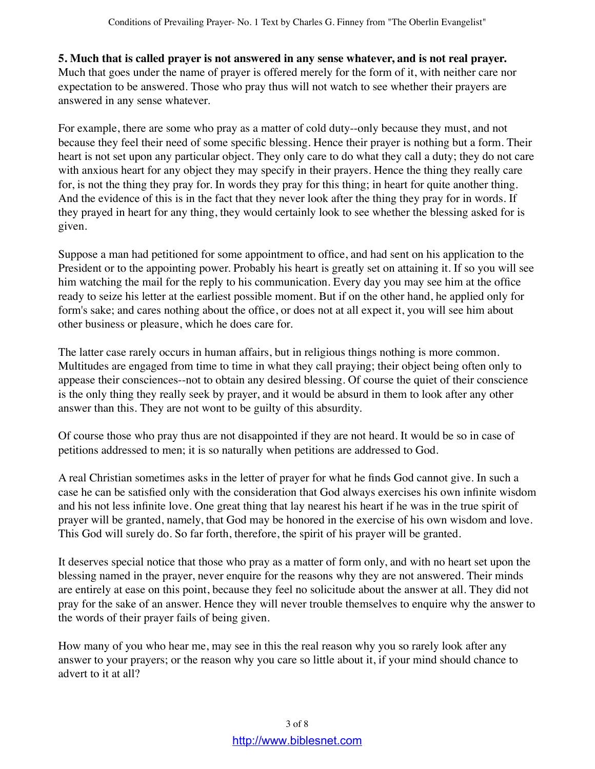#### **5. Much that is called prayer is not answered in any sense whatever, and is not real prayer.**

Much that goes under the name of prayer is offered merely for the form of it, with neither care nor expectation to be answered. Those who pray thus will not watch to see whether their prayers are answered in any sense whatever.

For example, there are some who pray as a matter of cold duty--only because they must, and not because they feel their need of some specific blessing. Hence their prayer is nothing but a form. Their heart is not set upon any particular object. They only care to do what they call a duty; they do not care with anxious heart for any object they may specify in their prayers. Hence the thing they really care for, is not the thing they pray for. In words they pray for this thing; in heart for quite another thing. And the evidence of this is in the fact that they never look after the thing they pray for in words. If they prayed in heart for any thing, they would certainly look to see whether the blessing asked for is given.

Suppose a man had petitioned for some appointment to office, and had sent on his application to the President or to the appointing power. Probably his heart is greatly set on attaining it. If so you will see him watching the mail for the reply to his communication. Every day you may see him at the office ready to seize his letter at the earliest possible moment. But if on the other hand, he applied only for form's sake; and cares nothing about the office, or does not at all expect it, you will see him about other business or pleasure, which he does care for.

The latter case rarely occurs in human affairs, but in religious things nothing is more common. Multitudes are engaged from time to time in what they call praying; their object being often only to appease their consciences--not to obtain any desired blessing. Of course the quiet of their conscience is the only thing they really seek by prayer, and it would be absurd in them to look after any other answer than this. They are not wont to be guilty of this absurdity.

Of course those who pray thus are not disappointed if they are not heard. It would be so in case of petitions addressed to men; it is so naturally when petitions are addressed to God.

A real Christian sometimes asks in the letter of prayer for what he finds God cannot give. In such a case he can be satisfied only with the consideration that God always exercises his own infinite wisdom and his not less infinite love. One great thing that lay nearest his heart if he was in the true spirit of prayer will be granted, namely, that God may be honored in the exercise of his own wisdom and love. This God will surely do. So far forth, therefore, the spirit of his prayer will be granted.

It deserves special notice that those who pray as a matter of form only, and with no heart set upon the blessing named in the prayer, never enquire for the reasons why they are not answered. Their minds are entirely at ease on this point, because they feel no solicitude about the answer at all. They did not pray for the sake of an answer. Hence they will never trouble themselves to enquire why the answer to the words of their prayer fails of being given.

How many of you who hear me, may see in this the real reason why you so rarely look after any answer to your prayers; or the reason why you care so little about it, if your mind should chance to advert to it at all?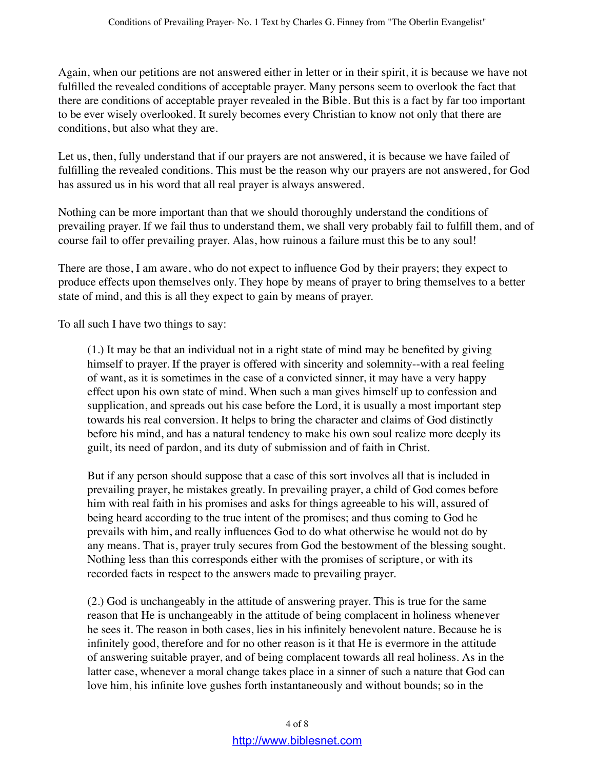Again, when our petitions are not answered either in letter or in their spirit, it is because we have not fulfilled the revealed conditions of acceptable prayer. Many persons seem to overlook the fact that there are conditions of acceptable prayer revealed in the Bible. But this is a fact by far too important to be ever wisely overlooked. It surely becomes every Christian to know not only that there are conditions, but also what they are.

Let us, then, fully understand that if our prayers are not answered, it is because we have failed of fulfilling the revealed conditions. This must be the reason why our prayers are not answered, for God has assured us in his word that all real prayer is always answered.

Nothing can be more important than that we should thoroughly understand the conditions of prevailing prayer. If we fail thus to understand them, we shall very probably fail to fulfill them, and of course fail to offer prevailing prayer. Alas, how ruinous a failure must this be to any soul!

There are those, I am aware, who do not expect to influence God by their prayers; they expect to produce effects upon themselves only. They hope by means of prayer to bring themselves to a better state of mind, and this is all they expect to gain by means of prayer.

To all such I have two things to say:

(1.) It may be that an individual not in a right state of mind may be benefited by giving himself to prayer. If the prayer is offered with sincerity and solemnity--with a real feeling of want, as it is sometimes in the case of a convicted sinner, it may have a very happy effect upon his own state of mind. When such a man gives himself up to confession and supplication, and spreads out his case before the Lord, it is usually a most important step towards his real conversion. It helps to bring the character and claims of God distinctly before his mind, and has a natural tendency to make his own soul realize more deeply its guilt, its need of pardon, and its duty of submission and of faith in Christ.

But if any person should suppose that a case of this sort involves all that is included in prevailing prayer, he mistakes greatly. In prevailing prayer, a child of God comes before him with real faith in his promises and asks for things agreeable to his will, assured of being heard according to the true intent of the promises; and thus coming to God he prevails with him, and really influences God to do what otherwise he would not do by any means. That is, prayer truly secures from God the bestowment of the blessing sought. Nothing less than this corresponds either with the promises of scripture, or with its recorded facts in respect to the answers made to prevailing prayer.

(2.) God is unchangeably in the attitude of answering prayer. This is true for the same reason that He is unchangeably in the attitude of being complacent in holiness whenever he sees it. The reason in both cases, lies in his infinitely benevolent nature. Because he is infinitely good, therefore and for no other reason is it that He is evermore in the attitude of answering suitable prayer, and of being complacent towards all real holiness. As in the latter case, whenever a moral change takes place in a sinner of such a nature that God can love him, his infinite love gushes forth instantaneously and without bounds; so in the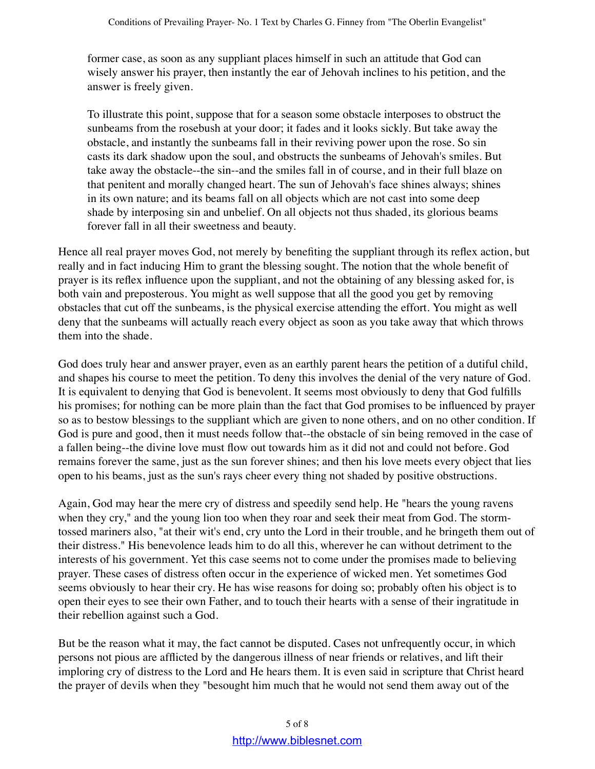former case, as soon as any suppliant places himself in such an attitude that God can wisely answer his prayer, then instantly the ear of Jehovah inclines to his petition, and the answer is freely given.

To illustrate this point, suppose that for a season some obstacle interposes to obstruct the sunbeams from the rosebush at your door; it fades and it looks sickly. But take away the obstacle, and instantly the sunbeams fall in their reviving power upon the rose. So sin casts its dark shadow upon the soul, and obstructs the sunbeams of Jehovah's smiles. But take away the obstacle--the sin--and the smiles fall in of course, and in their full blaze on that penitent and morally changed heart. The sun of Jehovah's face shines always; shines in its own nature; and its beams fall on all objects which are not cast into some deep shade by interposing sin and unbelief. On all objects not thus shaded, its glorious beams forever fall in all their sweetness and beauty.

Hence all real prayer moves God, not merely by benefiting the suppliant through its reflex action, but really and in fact inducing Him to grant the blessing sought. The notion that the whole benefit of prayer is its reflex influence upon the suppliant, and not the obtaining of any blessing asked for, is both vain and preposterous. You might as well suppose that all the good you get by removing obstacles that cut off the sunbeams, is the physical exercise attending the effort. You might as well deny that the sunbeams will actually reach every object as soon as you take away that which throws them into the shade.

God does truly hear and answer prayer, even as an earthly parent hears the petition of a dutiful child, and shapes his course to meet the petition. To deny this involves the denial of the very nature of God. It is equivalent to denying that God is benevolent. It seems most obviously to deny that God fulfills his promises; for nothing can be more plain than the fact that God promises to be influenced by prayer so as to bestow blessings to the suppliant which are given to none others, and on no other condition. If God is pure and good, then it must needs follow that--the obstacle of sin being removed in the case of a fallen being--the divine love must flow out towards him as it did not and could not before. God remains forever the same, just as the sun forever shines; and then his love meets every object that lies open to his beams, just as the sun's rays cheer every thing not shaded by positive obstructions.

Again, God may hear the mere cry of distress and speedily send help. He "hears the young ravens when they cry," and the young lion too when they roar and seek their meat from God. The stormtossed mariners also, "at their wit's end, cry unto the Lord in their trouble, and he bringeth them out of their distress." His benevolence leads him to do all this, wherever he can without detriment to the interests of his government. Yet this case seems not to come under the promises made to believing prayer. These cases of distress often occur in the experience of wicked men. Yet sometimes God seems obviously to hear their cry. He has wise reasons for doing so; probably often his object is to open their eyes to see their own Father, and to touch their hearts with a sense of their ingratitude in their rebellion against such a God.

But be the reason what it may, the fact cannot be disputed. Cases not unfrequently occur, in which persons not pious are afflicted by the dangerous illness of near friends or relatives, and lift their imploring cry of distress to the Lord and He hears them. It is even said in scripture that Christ heard the prayer of devils when they "besought him much that he would not send them away out of the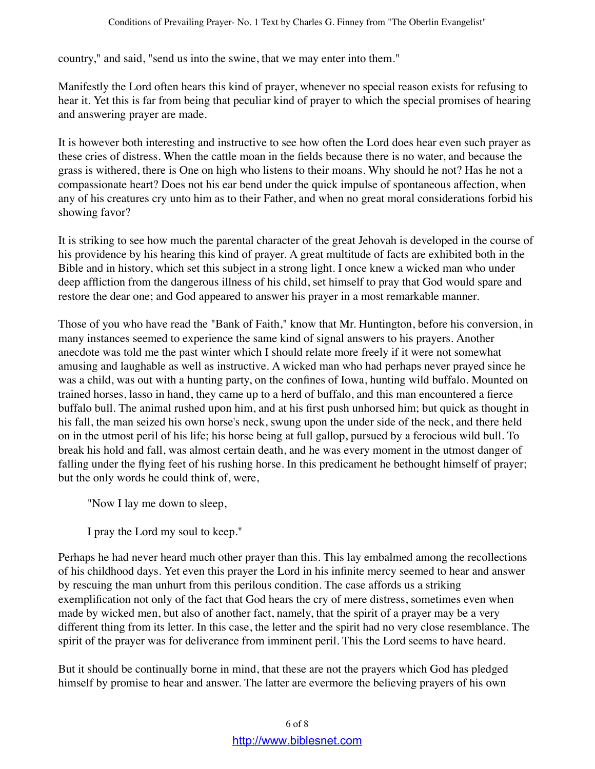country," and said, "send us into the swine, that we may enter into them."

Manifestly the Lord often hears this kind of prayer, whenever no special reason exists for refusing to hear it. Yet this is far from being that peculiar kind of prayer to which the special promises of hearing and answering prayer are made.

It is however both interesting and instructive to see how often the Lord does hear even such prayer as these cries of distress. When the cattle moan in the fields because there is no water, and because the grass is withered, there is One on high who listens to their moans. Why should he not? Has he not a compassionate heart? Does not his ear bend under the quick impulse of spontaneous affection, when any of his creatures cry unto him as to their Father, and when no great moral considerations forbid his showing favor?

It is striking to see how much the parental character of the great Jehovah is developed in the course of his providence by his hearing this kind of prayer. A great multitude of facts are exhibited both in the Bible and in history, which set this subject in a strong light. I once knew a wicked man who under deep affliction from the dangerous illness of his child, set himself to pray that God would spare and restore the dear one; and God appeared to answer his prayer in a most remarkable manner.

Those of you who have read the "Bank of Faith," know that Mr. Huntington, before his conversion, in many instances seemed to experience the same kind of signal answers to his prayers. Another anecdote was told me the past winter which I should relate more freely if it were not somewhat amusing and laughable as well as instructive. A wicked man who had perhaps never prayed since he was a child, was out with a hunting party, on the confines of Iowa, hunting wild buffalo. Mounted on trained horses, lasso in hand, they came up to a herd of buffalo, and this man encountered a fierce buffalo bull. The animal rushed upon him, and at his first push unhorsed him; but quick as thought in his fall, the man seized his own horse's neck, swung upon the under side of the neck, and there held on in the utmost peril of his life; his horse being at full gallop, pursued by a ferocious wild bull. To break his hold and fall, was almost certain death, and he was every moment in the utmost danger of falling under the flying feet of his rushing horse. In this predicament he bethought himself of prayer; but the only words he could think of, were,

"Now I lay me down to sleep,

I pray the Lord my soul to keep."

Perhaps he had never heard much other prayer than this. This lay embalmed among the recollections of his childhood days. Yet even this prayer the Lord in his infinite mercy seemed to hear and answer by rescuing the man unhurt from this perilous condition. The case affords us a striking exemplification not only of the fact that God hears the cry of mere distress, sometimes even when made by wicked men, but also of another fact, namely, that the spirit of a prayer may be a very different thing from its letter. In this case, the letter and the spirit had no very close resemblance. The spirit of the prayer was for deliverance from imminent peril. This the Lord seems to have heard.

But it should be continually borne in mind, that these are not the prayers which God has pledged himself by promise to hear and answer. The latter are evermore the believing prayers of his own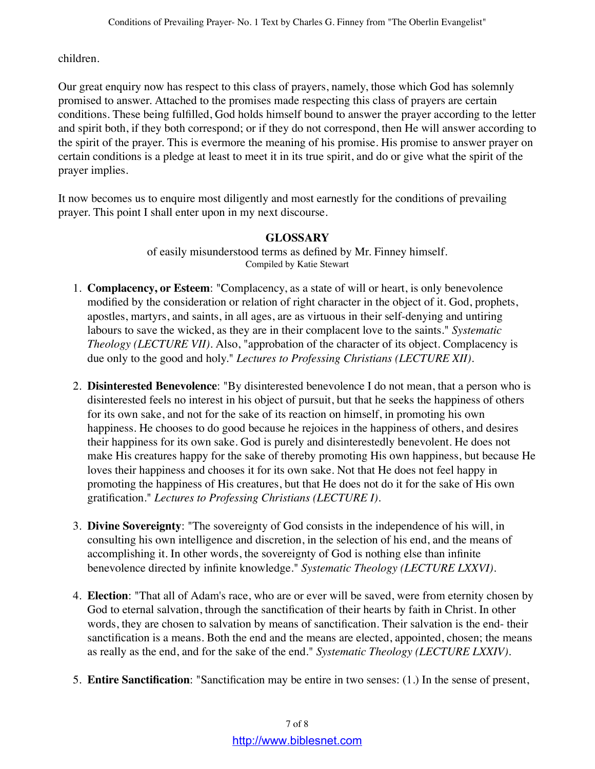children.

Our great enquiry now has respect to this class of prayers, namely, those which God has solemnly promised to answer. Attached to the promises made respecting this class of prayers are certain conditions. These being fulfilled, God holds himself bound to answer the prayer according to the letter and spirit both, if they both correspond; or if they do not correspond, then He will answer according to the spirit of the prayer. This is evermore the meaning of his promise. His promise to answer prayer on certain conditions is a pledge at least to meet it in its true spirit, and do or give what the spirit of the prayer implies.

It now becomes us to enquire most diligently and most earnestly for the conditions of prevailing prayer. This point I shall enter upon in my next discourse.

### **GLOSSARY**

of easily misunderstood terms as defined by Mr. Finney himself. Compiled by Katie Stewart

- **Complacency, or Esteem**: "Complacency, as a state of will or heart, is only benevolence 1. modified by the consideration or relation of right character in the object of it. God, prophets, apostles, martyrs, and saints, in all ages, are as virtuous in their self-denying and untiring labours to save the wicked, as they are in their complacent love to the saints." *Systematic Theology (LECTURE VII).* Also, "approbation of the character of its object. Complacency is due only to the good and holy." *Lectures to Professing Christians (LECTURE XII).*
- **Disinterested Benevolence**: "By disinterested benevolence I do not mean, that a person who is 2. disinterested feels no interest in his object of pursuit, but that he seeks the happiness of others for its own sake, and not for the sake of its reaction on himself, in promoting his own happiness. He chooses to do good because he rejoices in the happiness of others, and desires their happiness for its own sake. God is purely and disinterestedly benevolent. He does not make His creatures happy for the sake of thereby promoting His own happiness, but because He loves their happiness and chooses it for its own sake. Not that He does not feel happy in promoting the happiness of His creatures, but that He does not do it for the sake of His own gratification." *Lectures to Professing Christians (LECTURE I).*
- **Divine Sovereignty**: "The sovereignty of God consists in the independence of his will, in 3. consulting his own intelligence and discretion, in the selection of his end, and the means of accomplishing it. In other words, the sovereignty of God is nothing else than infinite benevolence directed by infinite knowledge." *Systematic Theology (LECTURE LXXVI).*
- **Election**: "That all of Adam's race, who are or ever will be saved, were from eternity chosen by 4. God to eternal salvation, through the sanctification of their hearts by faith in Christ. In other words, they are chosen to salvation by means of sanctification. Their salvation is the end- their sanctification is a means. Both the end and the means are elected, appointed, chosen; the means as really as the end, and for the sake of the end." *Systematic Theology (LECTURE LXXIV).*
- 5. **Entire Sanctification**: "Sanctification may be entire in two senses: (1.) In the sense of present,